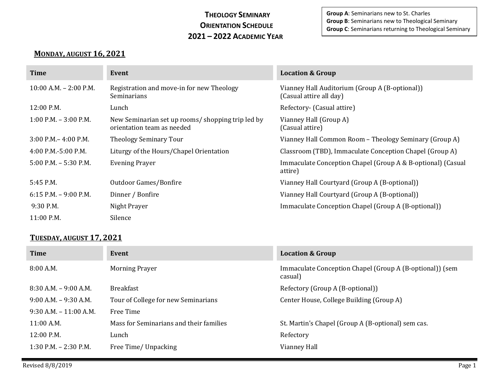## **THEOLOGY SEMINARY ORIENTATION SCHEDULE 2021 – 2022 ACADEMIC YEAR**

**Group A**: Seminarians new to St. Charles **Group B**: Seminarians new to Theological Seminary **Group C**: Seminarians returning to Theological Seminary

## **MONDAY, AUGUST 16, 2021**

| Time                       | Event                                                                           | <b>Location &amp; Group</b>                                               |
|----------------------------|---------------------------------------------------------------------------------|---------------------------------------------------------------------------|
| $10:00$ A.M. $- 2:00$ P.M. | Registration and move-in for new Theology<br>Seminarians                        | Vianney Hall Auditorium (Group A (B-optional))<br>(Casual attire all day) |
| 12:00 P.M.                 | Lunch                                                                           | Refectory- (Casual attire)                                                |
| $1:00$ P.M. $-3:00$ P.M.   | New Seminarian set up rooms/ shopping trip led by<br>orientation team as needed | Vianney Hall (Group A)<br>(Casual attire)                                 |
| $3:00$ P.M. – 4:00 P.M.    | <b>Theology Seminary Tour</b>                                                   | Vianney Hall Common Room - Theology Seminary (Group A)                    |
| 4:00 P.M.-5:00 P.M.        | Liturgy of the Hours/Chapel Orientation                                         | Classroom (TBD), Immaculate Conception Chapel (Group A)                   |
| $5:00$ P.M. $-5:30$ P.M.   | <b>Evening Prayer</b>                                                           | Immaculate Conception Chapel (Group A & B-optional) (Casual<br>attire)    |
| 5:45 P.M.                  | Outdoor Games/Bonfire                                                           | Vianney Hall Courtyard (Group A (B-optional))                             |
| $6:15$ P.M. $-9:00$ P.M.   | Dinner / Bonfire                                                                | Vianney Hall Courtyard (Group A (B-optional))                             |
| 9:30 P.M.                  | Night Prayer                                                                    | Immaculate Conception Chapel (Group A (B-optional))                       |
| 11:00 P.M.                 | Silence                                                                         |                                                                           |

## **TUESDAY, AUGUST 17, 2021**

| <b>Time</b>               | Event                                   | <b>Location &amp; Group</b>                                         |
|---------------------------|-----------------------------------------|---------------------------------------------------------------------|
| 8:00 A.M.                 | <b>Morning Prayer</b>                   | Immaculate Conception Chapel (Group A (B-optional)) (sem<br>casual) |
| $8:30$ A.M. $-9:00$ A.M.  | <b>Breakfast</b>                        | Refectory (Group A (B-optional))                                    |
| $9:00$ A.M. $-9:30$ A.M.  | Tour of College for new Seminarians     | Center House, College Building (Group A)                            |
| $9:30$ A.M. $-11:00$ A.M. | Free Time                               |                                                                     |
| $11:00$ A.M.              | Mass for Seminarians and their families | St. Martin's Chapel (Group A (B-optional) sem cas.                  |
| 12:00 P.M.                | Lunch                                   | Refectory                                                           |
| $1:30$ P.M. $- 2:30$ P.M. | Free Time/ Unpacking                    | Vianney Hall                                                        |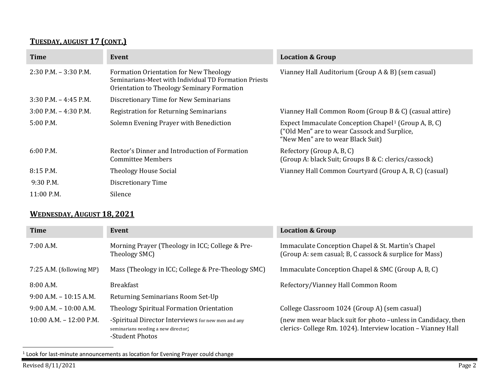# <span id="page-1-0"></span>**TUESDAY, AUGUST 17 (CONT.)**

| <b>Time</b>              | Event                                                                                                                                                | <b>Location &amp; Group</b>                                                                                                                           |
|--------------------------|------------------------------------------------------------------------------------------------------------------------------------------------------|-------------------------------------------------------------------------------------------------------------------------------------------------------|
| $2:30$ P.M. $-3:30$ P.M. | <b>Formation Orientation for New Theology</b><br>Seminarians-Meet with Individual TD Formation Priests<br>Orientation to Theology Seminary Formation | Vianney Hall Auditorium (Group A & B) (sem casual)                                                                                                    |
| $3:30$ P.M. $-4:45$ P.M. | Discretionary Time for New Seminarians                                                                                                               |                                                                                                                                                       |
| $3:00$ P.M. $-4:30$ P.M. | Registration for Returning Seminarians                                                                                                               | Vianney Hall Common Room (Group B & C) (casual attire)                                                                                                |
| 5:00 P.M.                | Solemn Evening Prayer with Benediction                                                                                                               | Expect Immaculate Conception Chapel <sup>1</sup> (Group A, B, C)<br>("Old Men" are to wear Cassock and Surplice,<br>"New Men" are to wear Black Suit) |
| $6:00$ P.M.              | Rector's Dinner and Introduction of Formation<br>Committee Members                                                                                   | Refectory (Group A, B, C)<br>(Group A: black Suit; Groups B & C: clerics/cassock)                                                                     |
| $8:15$ P.M.              | <b>Theology House Social</b>                                                                                                                         | Vianney Hall Common Courtyard (Group A, B, C) (casual)                                                                                                |
| $9:30$ P.M.              | Discretionary Time                                                                                                                                   |                                                                                                                                                       |
| 11:00 P.M.               | Silence                                                                                                                                              |                                                                                                                                                       |

#### **WEDNESDAY, AUGUST 18, 2021**

| <b>Time</b>                 | Event                                                                                                        | <b>Location &amp; Group</b>                                                                                                    |
|-----------------------------|--------------------------------------------------------------------------------------------------------------|--------------------------------------------------------------------------------------------------------------------------------|
| 7:00 A.M.                   | Morning Prayer (Theology in ICC; College & Pre-<br>Theology SMC)                                             | Immaculate Conception Chapel & St. Martin's Chapel<br>(Group A: sem casual; B, C cassock & surplice for Mass)                  |
| 7:25 A.M. (following MP)    | Mass (Theology in ICC; College & Pre-Theology SMC)                                                           | Immaculate Conception Chapel & SMC (Group A, B, C)                                                                             |
| 8:00A.M.                    | <b>Breakfast</b>                                                                                             | Refectory/Vianney Hall Common Room                                                                                             |
| $9:00$ A.M. $-10:15$ A.M.   | Returning Seminarians Room Set-Up                                                                            |                                                                                                                                |
| $9:00$ A.M. $-10:00$ A.M.   | Theology Spiritual Formation Orientation                                                                     | College Classroom 1024 (Group A) (sem casual)                                                                                  |
| $10:00$ A.M. $- 12:00$ P.M. | -Spiritual Director Interviews for new men and any<br>seminarians needing a new director;<br>-Student Photos | (new men wear black suit for photo -unless in Candidacy, then<br>clerics- College Rm. 1024). Interview location - Vianney Hall |

 $1$  Look for last-minute announcements as location for Evening Prayer could change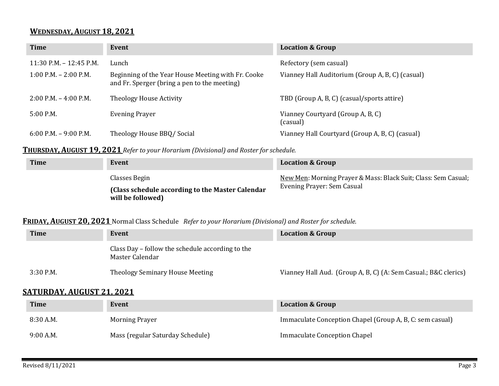## **WEDNESDAY, AUGUST 18, 2021**

| <b>Time</b>                 | Event                                                                                              | <b>Location &amp; Group</b>                      |
|-----------------------------|----------------------------------------------------------------------------------------------------|--------------------------------------------------|
| $11:30$ P.M. $- 12:45$ P.M. | Lunch                                                                                              | Refectory (sem casual)                           |
| $1:00$ P.M. $- 2:00$ P.M.   | Beginning of the Year House Meeting with Fr. Cooke<br>and Fr. Sperger (bring a pen to the meeting) | Vianney Hall Auditorium (Group A, B, C) (casual) |
| $2:00$ P.M. $-4:00$ P.M.    | Theology House Activity                                                                            | TBD (Group A, B, C) (casual/sports attire)       |
| $5:00$ P.M.                 | <b>Evening Prayer</b>                                                                              | Vianney Courtyard (Group A, B, C)<br>(casual)    |
| $6:00$ P.M. $-9:00$ P.M.    | Theology House BBQ/Social                                                                          | Vianney Hall Courtyard (Group A, B, C) (casual)  |

#### **THURSDAY, AUGUST 19, 2021** *Refer to your Horarium (Divisional) and Roster for schedule.*

| <b>Time</b> | Event                                                                                   | <b>Location &amp; Group</b>                                                                  |
|-------------|-----------------------------------------------------------------------------------------|----------------------------------------------------------------------------------------------|
|             | Classes Begin<br>(Class schedule according to the Master Calendar)<br>will be followed) | New Men: Morning Prayer & Mass: Black Suit; Class: Sem Casual;<br>Evening Prayer: Sem Casual |

#### **FRIDAY, AUGUST 20, 2021** Normal Class Schedule *Refer to your Horarium (Divisional) and Roster for schedule.*

| <b>Time</b> | Event                                                               | <b>Location &amp; Group</b>                                     |
|-------------|---------------------------------------------------------------------|-----------------------------------------------------------------|
|             | Class Day – follow the schedule according to the<br>Master Calendar |                                                                 |
| $3:30$ P.M. | Theology Seminary House Meeting                                     | Vianney Hall Aud. (Group A, B, C) (A: Sem Casual.; B&C clerics) |

## **SATURDAY, AUGUST 21, 2021**

| <b>Time</b> | Event                            | <b>Location &amp; Group</b>                              |
|-------------|----------------------------------|----------------------------------------------------------|
| 8:30 A.M.   | <b>Morning Prayer</b>            | Immaculate Conception Chapel (Group A, B, C: sem casual) |
| 9:00 A.M.   | Mass (regular Saturday Schedule) | Immaculate Conception Chapel                             |